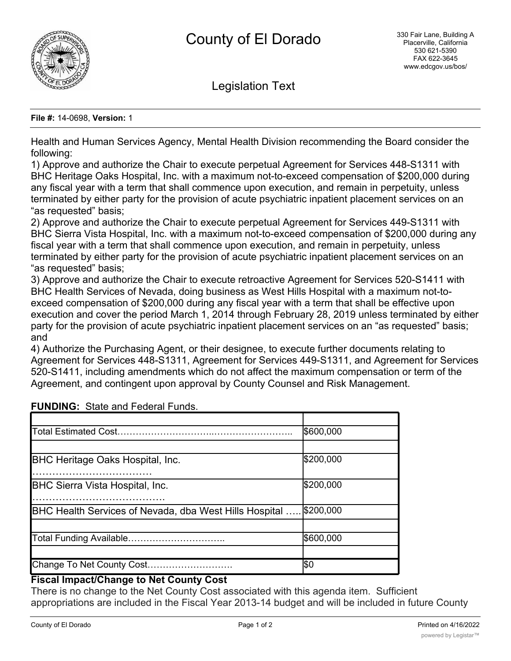

Legislation Text

#### **File #:** 14-0698, **Version:** 1

Health and Human Services Agency, Mental Health Division recommending the Board consider the following:

1) Approve and authorize the Chair to execute perpetual Agreement for Services 448-S1311 with BHC Heritage Oaks Hospital, Inc. with a maximum not-to-exceed compensation of \$200,000 during any fiscal year with a term that shall commence upon execution, and remain in perpetuity, unless terminated by either party for the provision of acute psychiatric inpatient placement services on an "as requested" basis;

2) Approve and authorize the Chair to execute perpetual Agreement for Services 449-S1311 with BHC Sierra Vista Hospital, Inc. with a maximum not-to-exceed compensation of \$200,000 during any fiscal year with a term that shall commence upon execution, and remain in perpetuity, unless terminated by either party for the provision of acute psychiatric inpatient placement services on an "as requested" basis;

3) Approve and authorize the Chair to execute retroactive Agreement for Services 520-S1411 with BHC Health Services of Nevada, doing business as West Hills Hospital with a maximum not-toexceed compensation of \$200,000 during any fiscal year with a term that shall be effective upon execution and cover the period March 1, 2014 through February 28, 2019 unless terminated by either party for the provision of acute psychiatric inpatient placement services on an "as requested" basis; and

4) Authorize the Purchasing Agent, or their designee, to execute further documents relating to Agreement for Services 448-S1311, Agreement for Services 449-S1311, and Agreement for Services 520-S1411, including amendments which do not affect the maximum compensation or term of the Agreement, and contingent upon approval by County Counsel and Risk Management.

|                                                                          | \$600,000 |
|--------------------------------------------------------------------------|-----------|
|                                                                          |           |
| <b>BHC Heritage Oaks Hospital, Inc.</b>                                  | \$200,000 |
|                                                                          |           |
| <b>BHC Sierra Vista Hospital, Inc.</b>                                   | \$200,000 |
|                                                                          |           |
| <b>BHC Health Services of Nevada, dba West Hills Hospital  \$200,000</b> |           |
|                                                                          |           |
| Total Funding Available                                                  | \$600,000 |
|                                                                          |           |
| Change To Net County Cost                                                | \$0       |

# **FUNDING:** State and Federal Funds.

# **Fiscal Impact/Change to Net County Cost**

There is no change to the Net County Cost associated with this agenda item. Sufficient appropriations are included in the Fiscal Year 2013-14 budget and will be included in future County